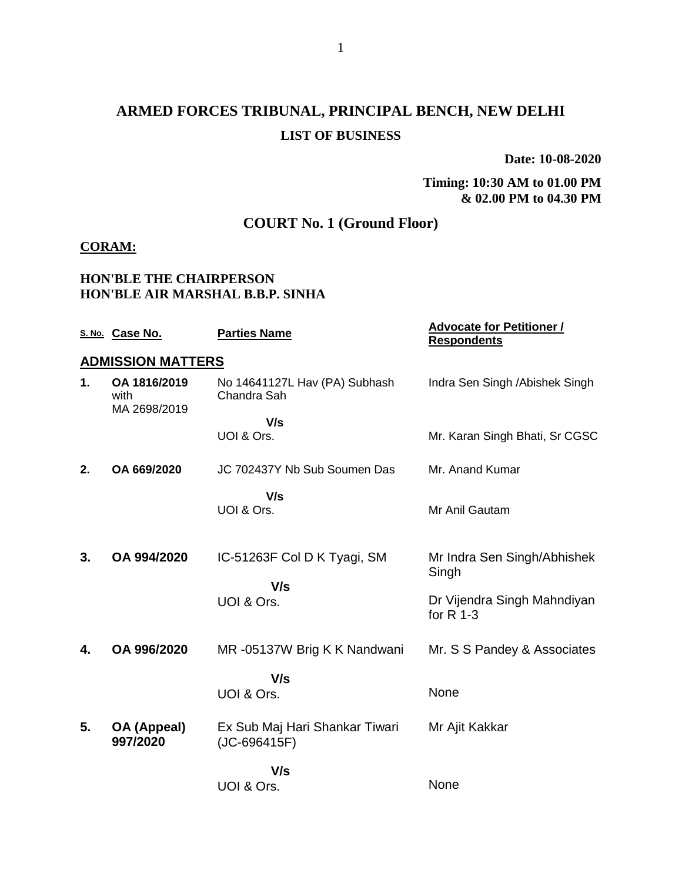# **ARMED FORCES TRIBUNAL, PRINCIPAL BENCH, NEW DELHI LIST OF BUSINESS**

**Date: 10-08-2020**

#### **Timing: 10:30 AM to 01.00 PM & 02.00 PM to 04.30 PM**

### **COURT No. 1 (Ground Floor)**

#### **CORAM:**

#### **HON'BLE THE CHAIRPERSON HON'BLE AIR MARSHAL B.B.P. SINHA**

|    | S. No. Case No.                      | <b>Parties Name</b>                            | <b>Advocate for Petitioner /</b><br><b>Respondents</b> |
|----|--------------------------------------|------------------------------------------------|--------------------------------------------------------|
|    | <b>ADMISSION MATTERS</b>             |                                                |                                                        |
| 1. | OA 1816/2019<br>with<br>MA 2698/2019 | No 14641127L Hav (PA) Subhash<br>Chandra Sah   | Indra Sen Singh / Abishek Singh                        |
|    |                                      | V/s                                            |                                                        |
|    |                                      | UOI & Ors.                                     | Mr. Karan Singh Bhati, Sr CGSC                         |
| 2. | OA 669/2020                          | JC 702437Y Nb Sub Soumen Das                   | Mr. Anand Kumar                                        |
|    |                                      | V/s                                            |                                                        |
|    |                                      | UOI & Ors.                                     | Mr Anil Gautam                                         |
|    |                                      |                                                |                                                        |
| 3. | OA 994/2020                          | IC-51263F Col D K Tyagi, SM                    | Mr Indra Sen Singh/Abhishek<br>Singh                   |
|    |                                      | V/s<br>UOI & Ors.                              | Dr Vijendra Singh Mahndiyan<br>for $R$ 1-3             |
| 4. | OA 996/2020                          | MR-05137W Brig K K Nandwani                    | Mr. S S Pandey & Associates                            |
|    |                                      | V/s                                            |                                                        |
|    |                                      | UOI & Ors.                                     | None                                                   |
| 5. | OA (Appeal)<br>997/2020              | Ex Sub Maj Hari Shankar Tiwari<br>(JC-696415F) | Mr Ajit Kakkar                                         |
|    |                                      | V/s                                            |                                                        |
|    |                                      | UOI & Ors.                                     | None                                                   |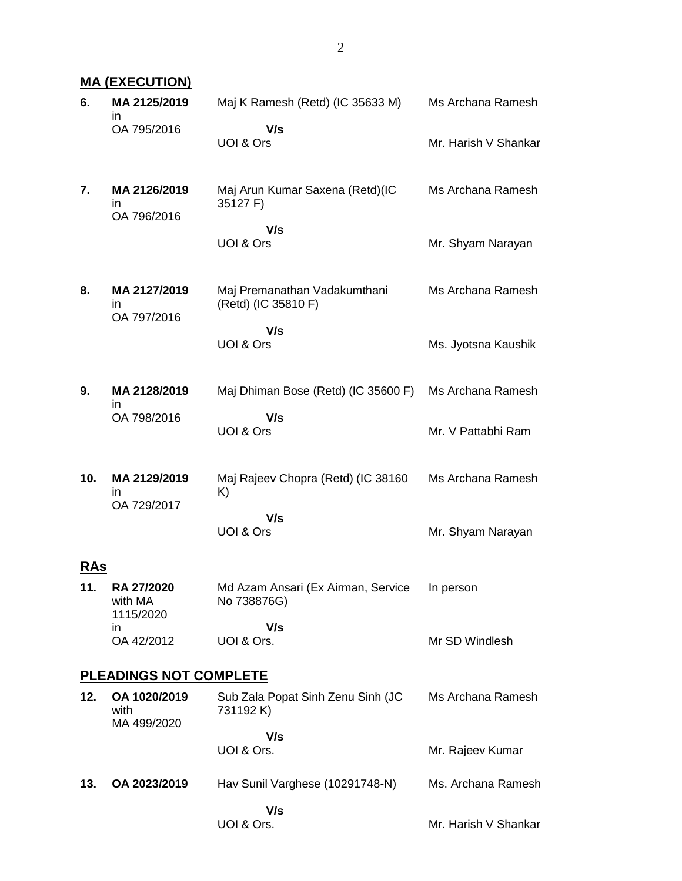|            | <b>MA (EXECUTION)</b>                     |                                                     |                      |  |
|------------|-------------------------------------------|-----------------------------------------------------|----------------------|--|
| 6.         | MA 2125/2019<br>in.                       | Maj K Ramesh (Retd) (IC 35633 M)                    | Ms Archana Ramesh    |  |
|            | OA 795/2016                               | V/s<br>UOI & Ors                                    | Mr. Harish V Shankar |  |
| 7.         | MA 2126/2019<br>in.<br>OA 796/2016        | Maj Arun Kumar Saxena (Retd)(IC<br>35127 F)         | Ms Archana Ramesh    |  |
|            |                                           | V/s<br>UOI & Ors                                    | Mr. Shyam Narayan    |  |
| 8.         | MA 2127/2019<br>in.<br>OA 797/2016        | Maj Premanathan Vadakumthani<br>(Retd) (IC 35810 F) | Ms Archana Ramesh    |  |
|            |                                           | V/s<br>UOI & Ors                                    | Ms. Jyotsna Kaushik  |  |
| 9.         | MA 2128/2019<br>in.                       | Maj Dhiman Bose (Retd) (IC 35600 F)                 | Ms Archana Ramesh    |  |
|            | OA 798/2016                               | V/s<br>UOI & Ors                                    | Mr. V Pattabhi Ram   |  |
| 10.        | MA 2129/2019<br>in.<br>OA 729/2017        | Maj Rajeev Chopra (Retd) (IC 38160<br>K)            | Ms Archana Ramesh    |  |
|            |                                           | V/s<br>UOI & Ors                                    | Mr. Shyam Narayan    |  |
| <b>RAs</b> |                                           |                                                     |                      |  |
| 11.        | <b>RA 27/2020</b><br>with MA<br>1115/2020 | Md Azam Ansari (Ex Airman, Service<br>No 738876G)   | In person            |  |
|            | in<br>OA 42/2012                          | V/s<br>UOI & Ors.                                   | Mr SD Windlesh       |  |
|            | <b>PLEADINGS NOT COMPLETE</b>             |                                                     |                      |  |
| 12.        | OA 1020/2019<br>with<br>MA 499/2020       | Sub Zala Popat Sinh Zenu Sinh (JC<br>731192 K)      | Ms Archana Ramesh    |  |
|            |                                           | V/s<br>UOI & Ors.                                   | Mr. Rajeev Kumar     |  |
| 13.        | OA 2023/2019                              | Hav Sunil Varghese (10291748-N)                     | Ms. Archana Ramesh   |  |

#### **V/s** UOI & Ors.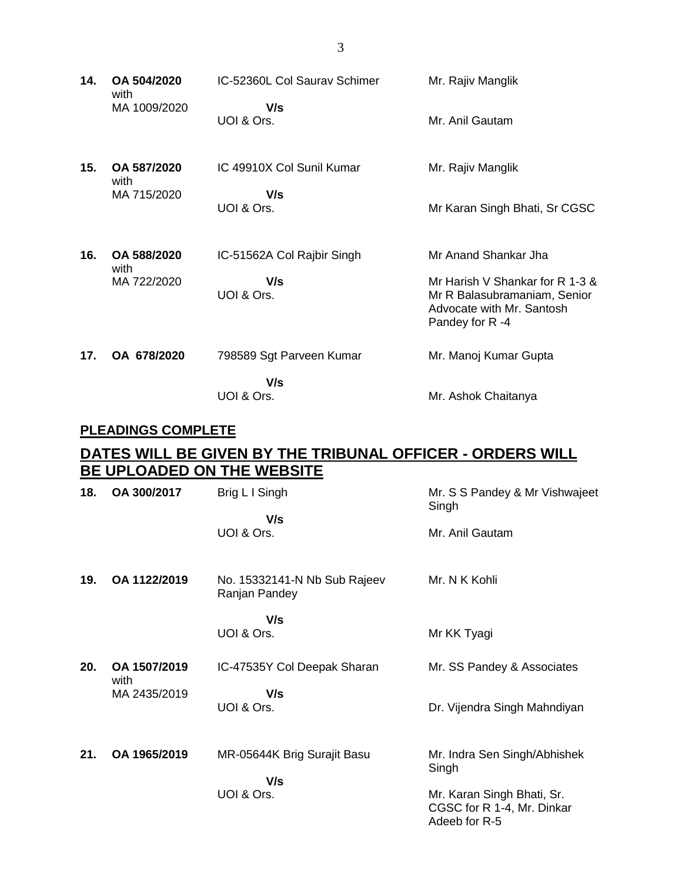| 14.             | OA 504/2020<br>with | IC-52360L Col Sauray Schimer | Mr. Rajiv Manglik                                                                                              |
|-----------------|---------------------|------------------------------|----------------------------------------------------------------------------------------------------------------|
|                 | MA 1009/2020        | V/s<br>UOI & Ors.            | Mr. Anil Gautam                                                                                                |
| 15.             | OA 587/2020<br>with | IC 49910X Col Sunil Kumar    | Mr. Rajiv Manglik                                                                                              |
|                 | MA 715/2020         | V/s<br>UOI & Ors.            | Mr Karan Singh Bhati, Sr CGSC                                                                                  |
| 16.             | OA 588/2020<br>with | IC-51562A Col Rajbir Singh   | Mr Anand Shankar Jha                                                                                           |
|                 | MA 722/2020         | V/s<br>UOI & Ors.            | Mr Harish V Shankar for R 1-3 &<br>Mr R Balasubramaniam, Senior<br>Advocate with Mr. Santosh<br>Pandey for R-4 |
| 17 <sub>1</sub> | OA 678/2020         | 798589 Sgt Parveen Kumar     | Mr. Manoj Kumar Gupta                                                                                          |
|                 |                     | V/s<br>UOI & Ors.            | Mr. Ashok Chaitanya                                                                                            |

### **PLEADINGS COMPLETE**

## **DATES WILL BE GIVEN BY THE TRIBUNAL OFFICER - ORDERS WILL BE UPLOADED ON THE WEBSITE**

| 18. | OA 300/2017          | Brig L I Singh                                | Mr. S S Pandey & Mr Vishwajeet<br>Singh                                   |
|-----|----------------------|-----------------------------------------------|---------------------------------------------------------------------------|
|     |                      | V/s<br>UOI & Ors.                             | Mr. Anil Gautam                                                           |
| 19. | OA 1122/2019         | No. 15332141-N Nb Sub Rajeev<br>Ranjan Pandey | Mr. N K Kohli                                                             |
|     |                      | V/s<br>UOI & Ors.                             | Mr KK Tyagi                                                               |
| 20. | OA 1507/2019         | IC-47535Y Col Deepak Sharan                   | Mr. SS Pandey & Associates                                                |
|     | with<br>MA 2435/2019 | V/s<br>UOI & Ors.                             | Dr. Vijendra Singh Mahndiyan                                              |
| 21. | OA 1965/2019         | MR-05644K Brig Surajit Basu<br>V/s            | Mr. Indra Sen Singh/Abhishek<br>Singh                                     |
|     |                      | UOI & Ors.                                    | Mr. Karan Singh Bhati, Sr.<br>CGSC for R 1-4, Mr. Dinkar<br>Adeeb for R-5 |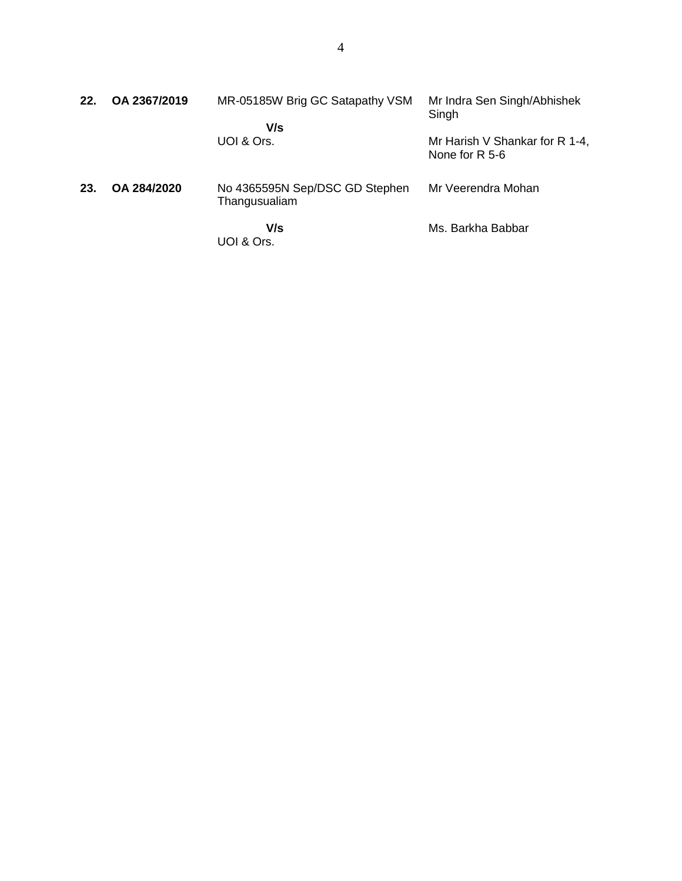| 22. | OA 2367/2019 | MR-05185W Brig GC Satapathy VSM<br>V/s          | Mr Indra Sen Singh/Abhishek<br>Singh             |
|-----|--------------|-------------------------------------------------|--------------------------------------------------|
|     |              | UOI & Ors.                                      | Mr Harish V Shankar for R 1-4,<br>None for R 5-6 |
| 23. | OA 284/2020  | No 4365595N Sep/DSC GD Stephen<br>Thangusualiam | Mr Veerendra Mohan                               |
|     |              | V/s<br>UOI & Ors.                               | Ms. Barkha Babbar                                |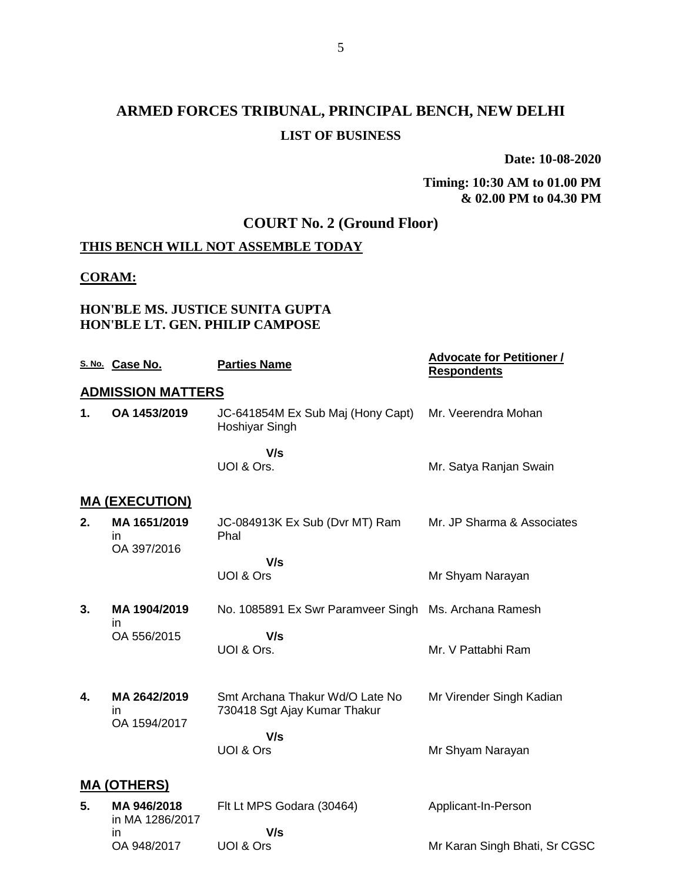## **ARMED FORCES TRIBUNAL, PRINCIPAL BENCH, NEW DELHI LIST OF BUSINESS**

**Date: 10-08-2020**

#### **Timing: 10:30 AM to 01.00 PM & 02.00 PM to 04.30 PM**

### **COURT No. 2 (Ground Floor)**

### **THIS BENCH WILL NOT ASSEMBLE TODAY**

#### **CORAM:**

#### **HON'BLE MS. JUSTICE SUNITA GUPTA HON'BLE LT. GEN. PHILIP CAMPOSE**

OA 948/2017 UOI & Ors

|    | S. No. Case No.                   | <b>Parties Name</b>                                   | <b>Advocate for Petitioner /</b><br><b>Respondents</b> |
|----|-----------------------------------|-------------------------------------------------------|--------------------------------------------------------|
|    | <b>ADMISSION MATTERS</b>          |                                                       |                                                        |
| 1. | OA 1453/2019                      | JC-641854M Ex Sub Maj (Hony Capt)<br>Hoshiyar Singh   | Mr. Veerendra Mohan                                    |
|    |                                   | V/s                                                   |                                                        |
|    |                                   | UOI & Ors.                                            | Mr. Satya Ranjan Swain                                 |
|    | <b>MA (EXECUTION)</b>             |                                                       |                                                        |
| 2. | MA 1651/2019<br>in<br>OA 397/2016 | JC-084913K Ex Sub (Dvr MT) Ram<br>Phal                | Mr. JP Sharma & Associates                             |
|    |                                   | V/s                                                   |                                                        |
|    |                                   | UOI & Ors                                             | Mr Shyam Narayan                                       |
| 3. | MA 1904/2019<br>in                | No. 1085891 Ex Swr Paramveer Singh Ms. Archana Ramesh |                                                        |
|    | OA 556/2015                       | V/s<br>UOI & Ors.                                     | Mr. V Pattabhi Ram                                     |
|    |                                   |                                                       |                                                        |
| 4. | MA 2642/2019                      | Smt Archana Thakur Wd/O Late No                       | Mr Virender Singh Kadian                               |
|    | in<br>OA 1594/2017                | 730418 Sgt Ajay Kumar Thakur                          |                                                        |
|    |                                   | V/s                                                   |                                                        |
|    |                                   | UOI & Ors                                             | Mr Shyam Narayan                                       |
|    | <u>MA (OTHERS)</u>                |                                                       |                                                        |
| 5. | MA 946/2018                       | Flt Lt MPS Godara (30464)                             | Applicant-In-Person                                    |
|    | in MA 1286/2017<br>in             | V/s                                                   |                                                        |
|    | OA 948/2017                       | UOI & Ors                                             | Mr Karan Singh Bhati, Sr CGSC                          |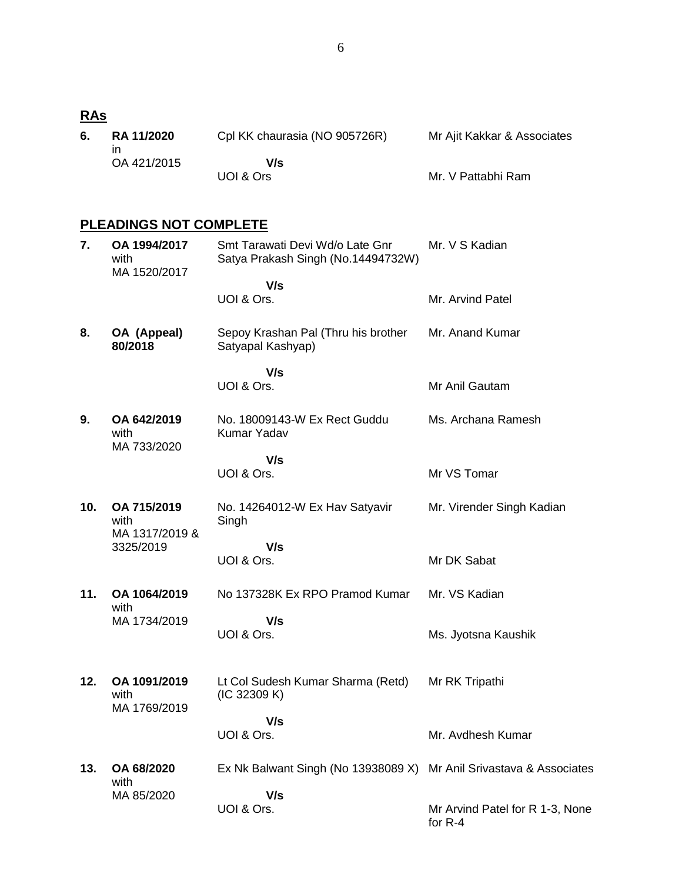# **RAs**

| 6. | <b>RA 11/2020</b> | Cpl KK chaurasia (NO 905726R) | Mr Ajit Kakkar & Associates |
|----|-------------------|-------------------------------|-----------------------------|
|    | OA 421/2015       | V/s                           |                             |
|    |                   | UOI & Ors                     | Mr. V Pattabhi Ram          |

### **PLEADINGS NOT COMPLETE**

| 7.  | OA 1994/2017<br>with<br>MA 1520/2017  | Smt Tarawati Devi Wd/o Late Gnr<br>Satya Prakash Singh (No.14494732W) | Mr. V S Kadian                  |
|-----|---------------------------------------|-----------------------------------------------------------------------|---------------------------------|
|     |                                       | V/s<br>UOI & Ors.                                                     | Mr. Arvind Patel                |
| 8.  | OA (Appeal)<br>80/2018                | Sepoy Krashan Pal (Thru his brother<br>Satyapal Kashyap)              | Mr. Anand Kumar                 |
|     |                                       | V/s<br>UOI & Ors.                                                     | Mr Anil Gautam                  |
| 9.  | OA 642/2019<br>with<br>MA 733/2020    | No. 18009143-W Ex Rect Guddu<br>Kumar Yadav                           | Ms. Archana Ramesh              |
|     |                                       | V/s                                                                   |                                 |
|     |                                       | UOI & Ors.                                                            | Mr VS Tomar                     |
| 10. | OA 715/2019<br>with<br>MA 1317/2019 & | No. 14264012-W Ex Hav Satyavir<br>Singh                               | Mr. Virender Singh Kadian       |
|     | 3325/2019                             | V/s                                                                   |                                 |
|     |                                       | UOI & Ors.                                                            | Mr DK Sabat                     |
| 11. | OA 1064/2019<br>with                  | No 137328K Ex RPO Pramod Kumar                                        | Mr. VS Kadian                   |
|     | MA 1734/2019                          | V/s<br>UOI & Ors.                                                     | Ms. Jyotsna Kaushik             |
| 12. | OA 1091/2019<br>with<br>MA 1769/2019  | Lt Col Sudesh Kumar Sharma (Retd)<br>(IC 32309 K)                     | Mr RK Tripathi                  |
|     |                                       | V/s                                                                   |                                 |
|     |                                       | UOI & Ors.                                                            | Mr. Avdhesh Kumar               |
| 13. | OA 68/2020<br>with                    | Ex Nk Balwant Singh (No 13938089 X) Mr Anil Srivastava & Associates   |                                 |
|     | MA 85/2020                            | V/s<br>UOI & Ors.                                                     | Mr Arvind Patel for R 1-3, None |
|     |                                       |                                                                       | for $R-4$                       |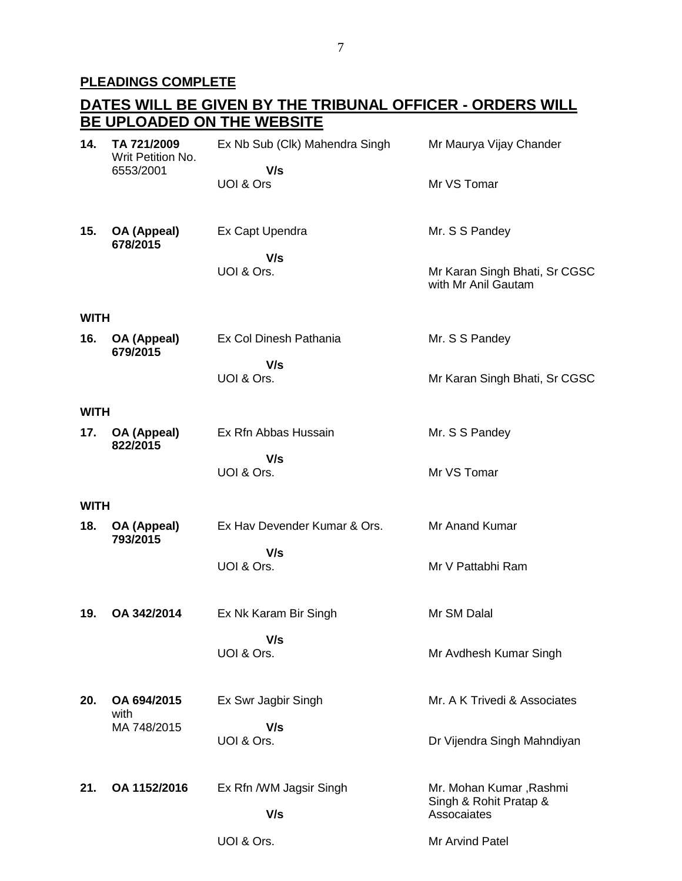## **PLEADINGS COMPLETE**

|             | DATES WILL BE GIVEN BY THE TRIBUNAL OFFICER - ORDERS WILL |                                |                                                      |  |  |
|-------------|-----------------------------------------------------------|--------------------------------|------------------------------------------------------|--|--|
|             |                                                           | BE UPLOADED ON THE WEBSITE     |                                                      |  |  |
| 14.         | TA 721/2009<br>Writ Petition No.                          | Ex Nb Sub (Clk) Mahendra Singh | Mr Maurya Vijay Chander                              |  |  |
|             | 6553/2001                                                 | V/s<br>UOI & Ors               | Mr VS Tomar                                          |  |  |
| 15.         | OA (Appeal)<br>678/2015                                   | Ex Capt Upendra                | Mr. S S Pandey                                       |  |  |
|             |                                                           | V/s<br>UOI & Ors.              | Mr Karan Singh Bhati, Sr CGSC<br>with Mr Anil Gautam |  |  |
| <b>WITH</b> |                                                           |                                |                                                      |  |  |
| 16.         | OA (Appeal)<br>679/2015                                   | Ex Col Dinesh Pathania         | Mr. S S Pandey                                       |  |  |
|             |                                                           | V/s<br>UOI & Ors.              | Mr Karan Singh Bhati, Sr CGSC                        |  |  |
| <b>WITH</b> |                                                           |                                |                                                      |  |  |
| 17.         | OA (Appeal)<br>822/2015                                   | Ex Rfn Abbas Hussain           | Mr. S S Pandey                                       |  |  |
|             |                                                           | V/s<br>UOI & Ors.              | Mr VS Tomar                                          |  |  |
| <b>WITH</b> |                                                           |                                |                                                      |  |  |
| 18.         | OA (Appeal)<br>793/2015                                   | Ex Hav Devender Kumar & Ors.   | Mr Anand Kumar                                       |  |  |
|             |                                                           | V/s<br>UOI & Ors.              | Mr V Pattabhi Ram                                    |  |  |
| 19.         | OA 342/2014                                               | Ex Nk Karam Bir Singh          | Mr SM Dalal                                          |  |  |
|             |                                                           | V/s<br>UOI & Ors.              | Mr Avdhesh Kumar Singh                               |  |  |
| 20.         | OA 694/2015<br>with                                       | Ex Swr Jagbir Singh            | Mr. A K Trivedi & Associates                         |  |  |
|             | MA 748/2015                                               | V/s<br>UOI & Ors.              | Dr Vijendra Singh Mahndiyan                          |  |  |
| 21.         | OA 1152/2016                                              | Ex Rfn /WM Jagsir Singh        | Mr. Mohan Kumar, Rashmi<br>Singh & Rohit Pratap &    |  |  |
|             |                                                           | V/s                            | Assocaiates                                          |  |  |
|             |                                                           | UOI & Ors.                     | Mr Arvind Patel                                      |  |  |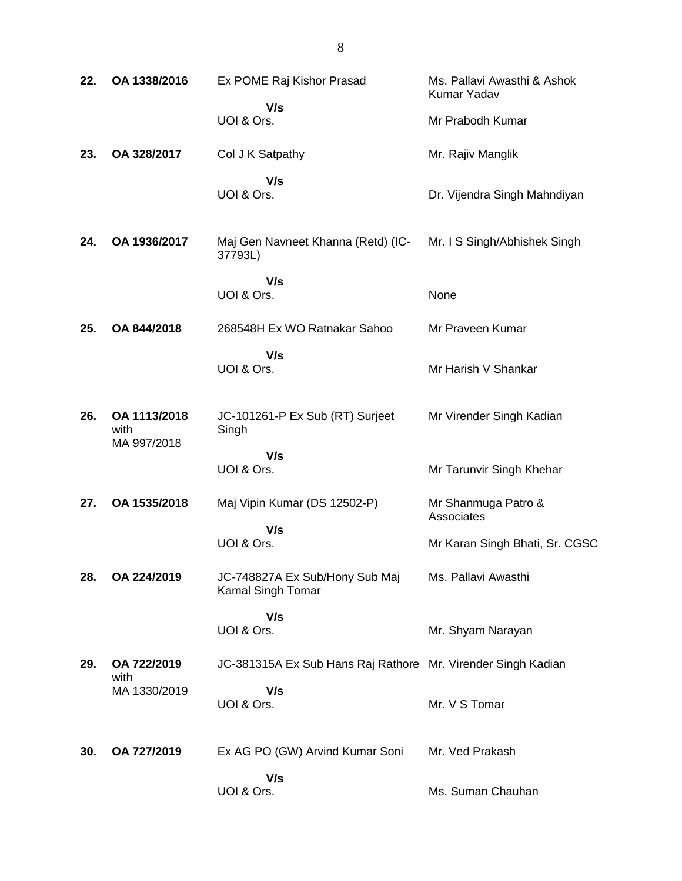| 22. | OA 1338/2016                        | Ex POME Raj Kishor Prasad                                    | Ms. Pallavi Awasthi & Ashok<br>Kumar Yadav |
|-----|-------------------------------------|--------------------------------------------------------------|--------------------------------------------|
|     |                                     | V/s<br>UOI & Ors.                                            | Mr Prabodh Kumar                           |
| 23. | OA 328/2017                         | Col J K Satpathy                                             | Mr. Rajiv Manglik                          |
|     |                                     | V/s<br>UOI & Ors.                                            | Dr. Vijendra Singh Mahndiyan               |
| 24. | OA 1936/2017                        | Maj Gen Navneet Khanna (Retd) (IC-<br>37793L)                | Mr. I S Singh/Abhishek Singh               |
|     |                                     | V/s<br>UOI & Ors.                                            | None                                       |
| 25. | OA 844/2018                         | 268548H Ex WO Ratnakar Sahoo                                 | Mr Praveen Kumar                           |
|     |                                     | V/s<br>UOI & Ors.                                            | Mr Harish V Shankar                        |
| 26. | OA 1113/2018<br>with<br>MA 997/2018 | JC-101261-P Ex Sub (RT) Surjeet<br>Singh                     | Mr Virender Singh Kadian                   |
|     |                                     | V/s<br>UOI & Ors.                                            | Mr Tarunvir Singh Khehar                   |
| 27. | OA 1535/2018                        | Maj Vipin Kumar (DS 12502-P)                                 | Mr Shanmuga Patro &<br>Associates          |
|     |                                     | V/s<br>UOI & Ors.                                            | Mr Karan Singh Bhati, Sr. CGSC             |
| 28. | OA 224/2019                         | JC-748827A Ex Sub/Hony Sub Maj<br>Kamal Singh Tomar          | Ms. Pallavi Awasthi                        |
|     |                                     | V/s<br>UOI & Ors.                                            | Mr. Shyam Narayan                          |
| 29. | OA 722/2019<br>with                 | JC-381315A Ex Sub Hans Raj Rathore Mr. Virender Singh Kadian |                                            |
|     | MA 1330/2019                        | V/s<br>UOI & Ors.                                            | Mr. V S Tomar                              |
| 30. | OA 727/2019                         | Ex AG PO (GW) Arvind Kumar Soni                              | Mr. Ved Prakash                            |
|     |                                     | V/s<br>UOI & Ors.                                            | Ms. Suman Chauhan                          |